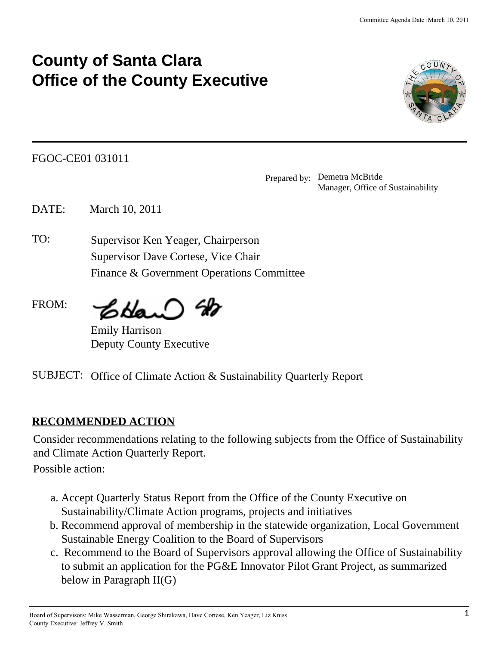# **County of Santa Clara Office of the County Executive**



FGOC-CE01 031011 .

Prepared by:. Demetra McBride Manager, Office of Sustainability

DATE: March 10, 2011

TO: Supervisor Ken Yeager, Chairperson Supervisor Dave Cortese, Vice Chair Finance & Government Operations Committee

FROM: CHar

Emily Harrison Deputy County Executive

SUBJECT: Office of Climate Action & Sustainability Quarterly Report

## **RECOMMENDED ACTION**

Consider recommendations relating to the following subjects from the Office of Sustainability and Climate Action Quarterly Report.

Possible action:

- Accept Quarterly Status Report from the Office of the County Executive on a. Sustainability/Climate Action programs, projects and initiatives
- b. Recommend approval of membership in the statewide organization, Local Government Sustainable Energy Coalition to the Board of Supervisors
- c. Recommend to the Board of Supervisors approval allowing the Office of Sustainability to submit an application for the PG&E Innovator Pilot Grant Project, as summarized below in Paragraph II(G)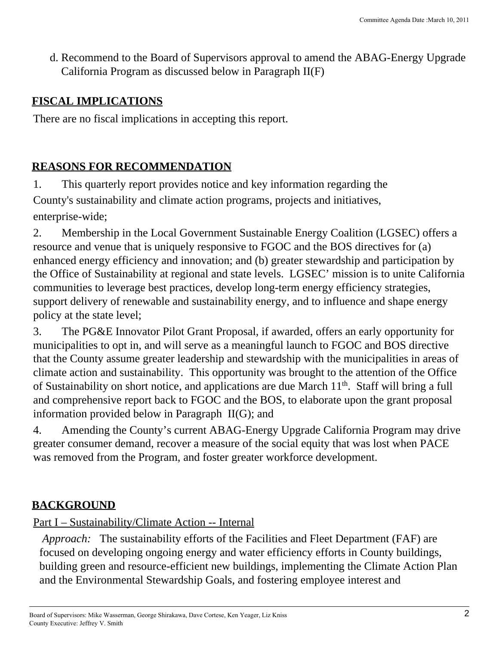d. Recommend to the Board of Supervisors approval to amend the ABAG-Energy Upgrade California Program as discussed below in Paragraph II(F)

#### **FISCAL IMPLICATIONS**

There are no fiscal implications in accepting this report.

## **REASONS FOR RECOMMENDATION**

1. This quarterly report provides notice and key information regarding the County's sustainability and climate action programs, projects and initiatives, enterprise-wide;

2. Membership in the Local Government Sustainable Energy Coalition (LGSEC) offers a resource and venue that is uniquely responsive to FGOC and the BOS directives for (a) enhanced energy efficiency and innovation; and (b) greater stewardship and participation by the Office of Sustainability at regional and state levels. LGSEC' mission is to unite California communities to leverage best practices, develop long-term energy efficiency strategies, support delivery of renewable and sustainability energy, and to influence and shape energy policy at the state level;

3. The PG&E Innovator Pilot Grant Proposal, if awarded, offers an early opportunity for municipalities to opt in, and will serve as a meaningful launch to FGOC and BOS directive that the County assume greater leadership and stewardship with the municipalities in areas of climate action and sustainability. This opportunity was brought to the attention of the Office of Sustainability on short notice, and applications are due March  $11<sup>th</sup>$ . Staff will bring a full and comprehensive report back to FGOC and the BOS, to elaborate upon the grant proposal information provided below in Paragraph II(G); and

4. Amending the County's current ABAG-Energy Upgrade California Program may drive greater consumer demand, recover a measure of the social equity that was lost when PACE was removed from the Program, and foster greater workforce development.

## **BACKGROUND**

#### Part I – Sustainability/Climate Action -- Internal

. *Approach:* The sustainability efforts of the Facilities and Fleet Department (FAF) are focused on developing ongoing energy and water efficiency efforts in County buildings, building green and resource-efficient new buildings, implementing the Climate Action Plan and the Environmental Stewardship Goals, and fostering employee interest and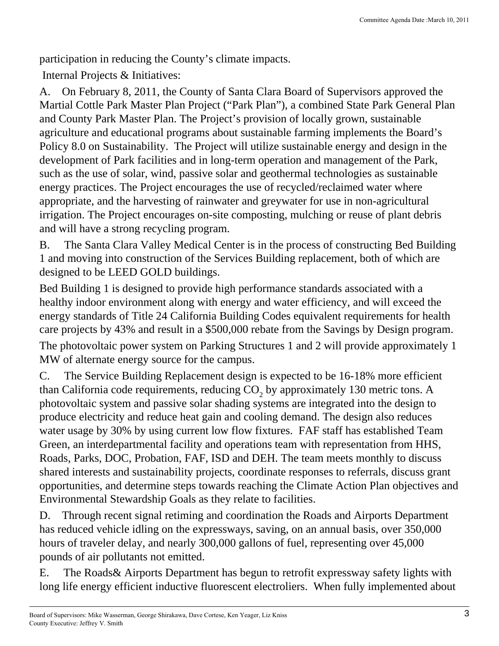participation in reducing the County's climate impacts.

. Internal Projects & Initiatives: .

A. On February 8, 2011, the County of Santa Clara Board of Supervisors approved the Martial Cottle Park Master Plan Project ("Park Plan"), a combined State Park General Plan and County Park Master Plan. The Project's provision of locally grown, sustainable agriculture and educational programs about sustainable farming implements the Board's Policy 8.0 on Sustainability. The Project will utilize sustainable energy and design in the development of Park facilities and in long-term operation and management of the Park, such as the use of solar, wind, passive solar and geothermal technologies as sustainable energy practices. The Project encourages the use of recycled/reclaimed water where appropriate, and the harvesting of rainwater and greywater for use in non-agricultural irrigation. The Project encourages on-site composting, mulching or reuse of plant debris and will have a strong recycling program.

B. The Santa Clara Valley Medical Center is in the process of constructing Bed Building 1 and moving into construction of the Services Building replacement, both of which are designed to be LEED GOLD buildings.

Bed Building 1 is designed to provide high performance standards associated with a healthy indoor environment along with energy and water efficiency, and will exceed the energy standards of Title 24 California Building Codes equivalent requirements for health care projects by 43% and result in a \$500,000 rebate from the Savings by Design program.

The photovoltaic power system on Parking Structures 1 and 2 will provide approximately 1 MW of alternate energy source for the campus. .

C. The Service Building Replacement design is expected to be 16-18% more efficient than California code requirements, reducing  $CO_2$  by approximately 130 metric tons. A photovoltaic system and passive solar shading systems are integrated into the design to produce electricity and reduce heat gain and cooling demand. The design also reduces water usage by 30% by using current low flow fixtures. FAF staff has established Team Green, an interdepartmental facility and operations team with representation from HHS, Roads, Parks, DOC, Probation, FAF, ISD and DEH. The team meets monthly to discuss shared interests and sustainability projects, coordinate responses to referrals, discuss grant opportunities, and determine steps towards reaching the Climate Action Plan objectives and Environmental Stewardship Goals as they relate to facilities.

D. Through recent signal retiming and coordination the Roads and Airports Department has reduced vehicle idling on the expressways, saving, on an annual basis, over 350,000 hours of traveler delay, and nearly 300,000 gallons of fuel, representing over 45,000 pounds of air pollutants not emitted.

. E. The Roads& Airports Department has begun to retrofit expressway safety lights with long life energy efficient inductive fluorescent electroliers. When fully implemented about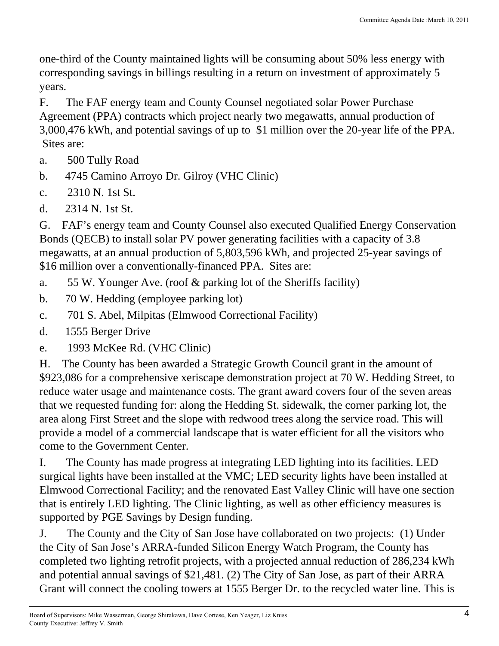one-third of the County maintained lights will be consuming about 50% less energy with corresponding savings in billings resulting in a return on investment of approximately 5 years.

F. The FAF energy team and County Counsel negotiated solar Power Purchase Agreement (PPA) contracts which project nearly two megawatts, annual production of 3,000,476 kWh, and potential savings of up to \$1 million over the 20-year life of the PPA. Sites are:

- a. 500 Tully Road
- b. 4745 Camino Arroyo Dr. Gilroy (VHC Clinic)
- c.  $2310 \text{ N}$ . 1st St.
- d.  $2314$  N. 1st St.

G. FAF's energy team and County Counsel also executed Qualified Energy Conservation Bonds (QECB) to install solar PV power generating facilities with a capacity of 3.8 megawatts, at an annual production of 5,803,596 kWh, and projected 25-year savings of \$16 million over a conventionally-financed PPA. Sites are:

- a. 55 W. Younger Ave. (roof & parking lot of the Sheriffs facility)
- b. 70 W. Hedding (employee parking lot)
- . c. 701 S. Abel, Milpitas (Elmwood Correctional Facility) .
- d. 1555 Berger Drive
- e. 1993 McKee Rd. (VHC Clinic)

H. The County has been awarded a Strategic Growth Council grant in the amount of \$923,086 for a comprehensive xeriscape demonstration project at 70 W. Hedding Street, to reduce water usage and maintenance costs. The grant award covers four of the seven areas that we requested funding for: along the Hedding St. sidewalk, the corner parking lot, the area along First Street and the slope with redwood trees along the service road. This will provide a model of a commercial landscape that is water efficient for all the visitors who come to the Government Center.

I. The County has made progress at integrating LED lighting into its facilities. LED surgical lights have been installed at the VMC; LED security lights have been installed at Elmwood Correctional Facility; and the renovated East Valley Clinic will have one section that is entirely LED lighting. The Clinic lighting, as well as other efficiency measures is supported by PGE Savings by Design funding.

. J. The County and the City of San Jose have collaborated on two projects: (1) Under the City of San Jose's ARRA-funded Silicon Energy Watch Program, the County has completed two lighting retrofit projects, with a projected annual reduction of 286,234 kWh and potential annual savings of \$21,481. (2) The City of San Jose, as part of their ARRA Grant will connect the cooling towers at 1555 Berger Dr. to the recycled water line. This is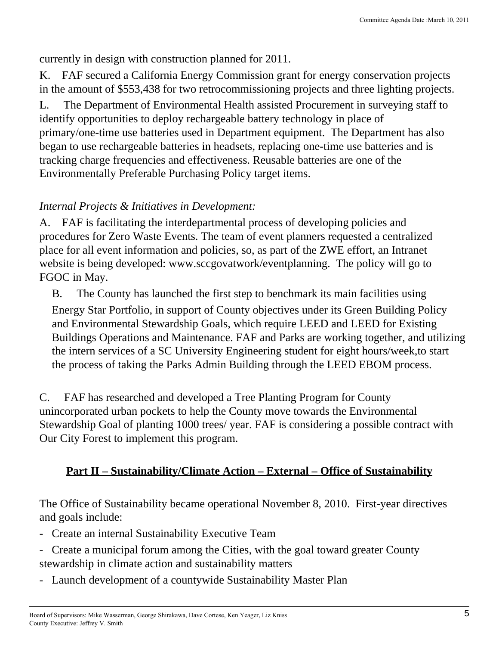currently in design with construction planned for 2011.

K. FAF secured a California Energy Commission grant for energy conservation projects in the amount of \$553,438 for two retrocommissioning projects and three lighting projects. .

L. The Department of Environmental Health assisted Procurement in surveying staff to identify opportunities to deploy rechargeable battery technology in place of primary/one-time use batteries used in Department equipment. The Department has also began to use rechargeable batteries in headsets, replacing one-time use batteries and is tracking charge frequencies and effectiveness. Reusable batteries are one of the Environmentally Preferable Purchasing Policy target items.

## . *Internal Projects & Initiatives in Development:* .

A. FAF is facilitating the interdepartmental process of developing policies and procedures for Zero Waste Events. The team of event planners requested a centralized place for all event information and policies, so, as part of the ZWE effort, an Intranet website is being developed: www.sccgovatwork/eventplanning. The policy will go to FGOC in May.

. B. The County has launched the first step to benchmark its main facilities using Energy Star Portfolio, in support of County objectives under its Green Building Policy and Environmental Stewardship Goals, which require LEED and LEED for Existing Buildings Operations and Maintenance. FAF and Parks are working together, and utilizing the intern services of a SC University Engineering student for eight hours/week,to start the process of taking the Parks Admin Building through the LEED EBOM process.

C. FAF has researched and developed a Tree Planting Program for County unincorporated urban pockets to help the County move towards the Environmental Stewardship Goal of planting 1000 trees/ year. FAF is considering a possible contract with Our City Forest to implement this program.

## **Part II – Sustainability/Climate Action – External – Office of Sustainability**

The Office of Sustainability became operational November 8, 2010. First-year directives and goals include:<br>and goals include:

- Create an internal Sustainability Executive Team
- Create a municipal forum among the Cities, with the goal toward greater County stewardship in climate action and sustainability matters .
- Launch development of a countywide Sustainability Master Plan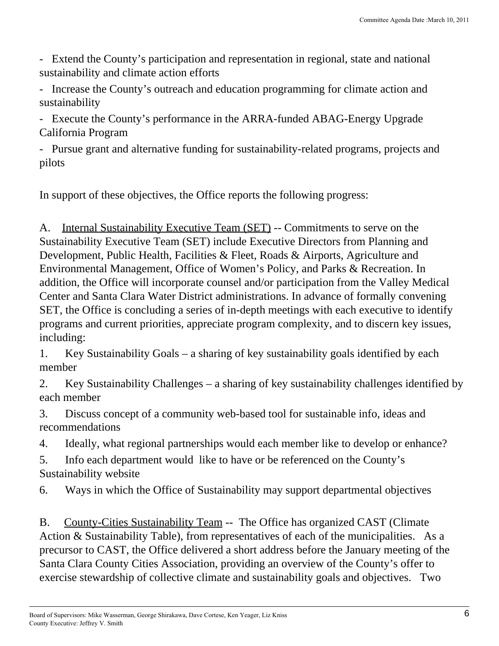- Extend the County's participation and representation in regional, state and national sustainability and climate action efforts.

- Increase the County's outreach and education programming for climate action and Increase the County is outreach and coacation programming for enhance action and<br>sustainability

- Execute the County's performance in the ARRA-funded ABAG-Energy Upgrade Execute the county is performance in the First Prince Profit Energy Opgrade.<br>California Program

- Pursue grant and alternative funding for sustainability-related programs, projects and I disc grant and attendance randing for sustainability related programs, projects and<br>pilots

. In support of these objectives, the Office reports the following progress: .

A. Internal Sustainability Executive Team (SET) -- Commitments to serve on the Sustainability Executive Team (SET) include Executive Directors from Planning and Development, Public Health, Facilities & Fleet, Roads & Airports, Agriculture and Environmental Management, Office of Women's Policy, and Parks & Recreation. In addition, the Office will incorporate counsel and/or participation from the Valley Medical Center and Santa Clara Water District administrations. In advance of formally convening SET, the Office is concluding a series of in-depth meetings with each executive to identify programs and current priorities, appreciate program complexity, and to discern key issues, including:

1. Key Sustainability Goals – a sharing of key sustainability goals identified by each member

2. Key Sustainability Challenges – a sharing of key sustainability challenges identified by each member

3. Discuss concept of a community web-based tool for sustainable info, ideas and recommendations

. 4. Ideally, what regional partnerships would each member like to develop or enhance?

5. Info each department would like to have or be referenced on the County's Sustainability website

. 6. Ways in which the Office of Sustainability may support departmental objectives

. B. County-Cities Sustainability Team -- The Office has organized CAST (Climate Action & Sustainability Table), from representatives of each of the municipalities. As a precursor to CAST, the Office delivered a short address before the January meeting of the Santa Clara County Cities Association, providing an overview of the County's offer to exercise stewardship of collective climate and sustainability goals and objectives. Two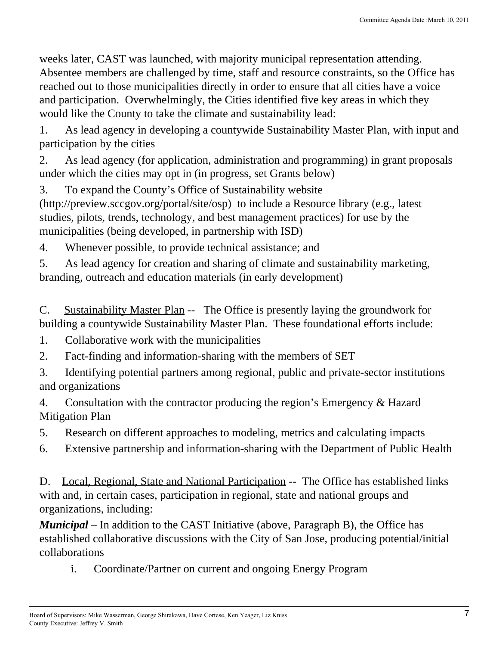weeks later, CAST was launched, with majority municipal representation attending. Absentee members are challenged by time, staff and resource constraints, so the Office has reached out to those municipalities directly in order to ensure that all cities have a voice and participation. Overwhelmingly, the Cities identified five key areas in which they would like the County to take the climate and sustainability lead:

1. As lead agency in developing a countywide Sustainability Master Plan, with input and 1. This idea agency in developing a county wide Bastamability Master 1 fail, with life and participation by the cities

2. As lead agency (for application, administration and programming) in grant proposals under which the cities may opt in (in progress, set Grants below) .

3. To expand the County's Office of Sustainability website

(http://preview.sccgov.org/portal/site/osp) to include a Resource library (e.g., latest studies, pilots, trends, technology, and best management practices) for use by the municipalities (being developed, in partnership with ISD)

4. Whenever possible, to provide technical assistance; and

5. As lead agency for creation and sharing of climate and sustainability marketing, branding, outreach and education materials (in early development) .

C. Sustainability Master Plan -- The Office is presently laying the groundwork for building a countywide Sustainability Master Plan. These foundational efforts include: .

. 1. Collaborative work with the municipalities .

2. Fact-finding and information-sharing with the members of SET

3. Identifying potential partners among regional, public and private-sector institutions 3. Additinging potential partners among regional, public and private sector institutions

4. Consultation with the contractor producing the region's Emergency & Hazard 4. Constitution with the contractor producing the region is Emergency at Frazard ...

. 5. Research on different approaches to modeling, metrics and calculating impacts .

. 6. Extensive partnership and information-sharing with the Department of Public Health .

D. Local, Regional, State and National Participation -- The Office has established links with and, in certain cases, participation in regional, state and national groups and organizations, including:

*Municipal* – In addition to the CAST Initiative (above, Paragraph B), the Office has established collaborative discussions with the City of San Jose, producing potential/initial collaborations

i. Coordinate/Partner on current and ongoing Energy Program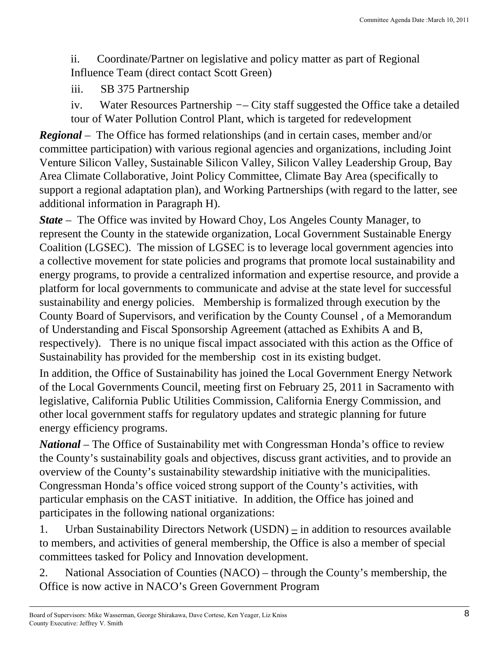ii. Coordinate/Partner on legislative and policy matter as part of Regional Influence Team (direct contact Scott Green)

. iii. SB 375 Partnership

iv. Water Resources Partnership *−*– City staff suggested the Office take a detailed tour of Water Pollution Control Plant, which is targeted for redevelopment

*Regional* – The Office has formed relationships (and in certain cases, member and/or committee participation) with various regional agencies and organizations, including Joint Venture Silicon Valley, Sustainable Silicon Valley, Silicon Valley Leadership Group, Bay Area Climate Collaborative, Joint Policy Committee, Climate Bay Area (specifically to support a regional adaptation plan), and Working Partnerships (with regard to the latter, see additional information in Paragraph H).

*State* – The Office was invited by Howard Choy, Los Angeles County Manager, to represent the County in the statewide organization, Local Government Sustainable Energy Coalition (LGSEC). The mission of LGSEC is to leverage local government agencies into a collective movement for state policies and programs that promote local sustainability and energy programs, to provide a centralized information and expertise resource, and provide a platform for local governments to communicate and advise at the state level for successful sustainability and energy policies. Membership is formalized through execution by the County Board of Supervisors, and verification by the County Counsel , of a Memorandum of Understanding and Fiscal Sponsorship Agreement (attached as Exhibits A and B, respectively). There is no unique fiscal impact associated with this action as the Office of Sustainability has provided for the membership cost in its existing budget.

In addition, the Office of Sustainability has joined the Local Government Energy Network of the Local Governments Council, meeting first on February 25, 2011 in Sacramento with legislative, California Public Utilities Commission, California Energy Commission, and other local government staffs for regulatory updates and strategic planning for future energy efficiency programs.

*National –* The Office of Sustainability met with Congressman Honda's office to review the County's sustainability goals and objectives, discuss grant activities, and to provide an overview of the County's sustainability stewardship initiative with the municipalities. Congressman Honda's office voiced strong support of the County's activities, with particular emphasis on the CAST initiative. In addition, the Office has joined and participates in the following national organizations:

1. Urban Sustainability Directors Network  $(USDN)$  – in addition to resources available to members, and activities of general membership, the Office is also a member of special committees tasked for Policy and Innovation development.

2. National Association of Counties (NACO) – through the County's membership, the Office is now active in NACO's Green Government Program .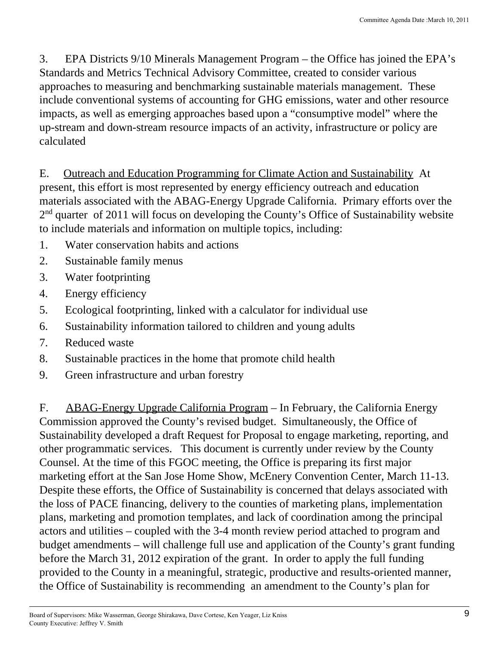3. EPA Districts 9/10 Minerals Management Program – the Office has joined the EPA's Standards and Metrics Technical Advisory Committee, created to consider various approaches to measuring and benchmarking sustainable materials management. These include conventional systems of accounting for GHG emissions, water and other resource impacts, as well as emerging approaches based upon a "consumptive model" where the up-stream and down-stream resource impacts of an activity, infrastructure or policy are calculated

E. Outreach and Education Programming for Climate Action and Sustainability At present, this effort is most represented by energy efficiency outreach and education materials associated with the ABAG-Energy Upgrade California. Primary efforts over the 2<sup>nd</sup> quarter of 2011 will focus on developing the County's Office of Sustainability website to include materials and information on multiple topics, including:

- . 1. Water conservation habits and actions .
- 2. Sustainable family menus
- . 3. Water footprinting .
- 4. Energy efficiency
- . 5. Ecological footprinting, linked with a calculator for individual use .
- . 6. Sustainability information tailored to children and young adults .
- . 7. Reduced waste .
- . 8. Sustainable practices in the home that promote child health .
- . 9. Green infrastructure and urban forestry .

. F. ABAG-Energy Upgrade California Program – In February, the California Energy Commission approved the County's revised budget. Simultaneously, the Office of Sustainability developed a draft Request for Proposal to engage marketing, reporting, and other programmatic services. This document is currently under review by the County Counsel. At the time of this FGOC meeting, the Office is preparing its first major marketing effort at the San Jose Home Show, McEnery Convention Center, March 11-13. Despite these efforts, the Office of Sustainability is concerned that delays associated with the loss of PACE financing, delivery to the counties of marketing plans, implementation plans, marketing and promotion templates, and lack of coordination among the principal actors and utilities – coupled with the 3-4 month review period attached to program and budget amendments – will challenge full use and application of the County's grant funding before the March 31, 2012 expiration of the grant. In order to apply the full funding provided to the County in a meaningful, strategic, productive and results-oriented manner, the Office of Sustainability is recommending an amendment to the County's plan for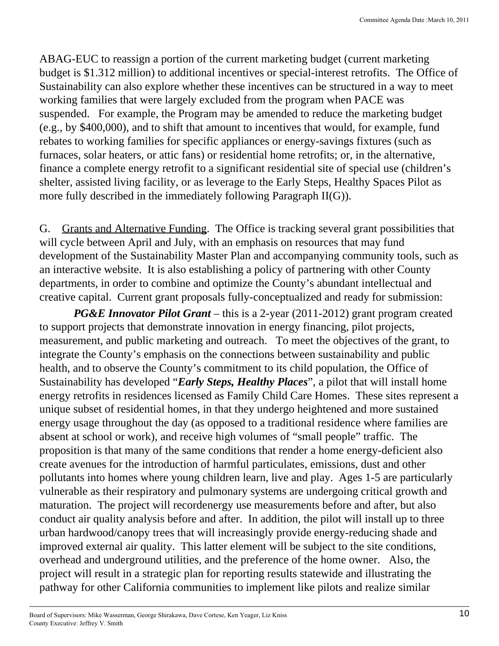ABAG-EUC to reassign a portion of the current marketing budget (current marketing budget is \$1.312 million) to additional incentives or special-interest retrofits. The Office of Sustainability can also explore whether these incentives can be structured in a way to meet working families that were largely excluded from the program when PACE was suspended. For example, the Program may be amended to reduce the marketing budget (e.g., by \$400,000), and to shift that amount to incentives that would, for example, fund rebates to working families for specific appliances or energy-savings fixtures (such as furnaces, solar heaters, or attic fans) or residential home retrofits; or, in the alternative, finance a complete energy retrofit to a significant residential site of special use (children's shelter, assisted living facility, or as leverage to the Early Steps, Healthy Spaces Pilot as more fully described in the immediately following Paragraph II(G)).

G. Grants and Alternative Funding. The Office is tracking several grant possibilities that will cycle between April and July, with an emphasis on resources that may fund development of the Sustainability Master Plan and accompanying community tools, such as an interactive website. It is also establishing a policy of partnering with other County departments, in order to combine and optimize the County's abundant intellectual and creative capital. Current grant proposals fully-conceptualized and ready for submission:

. *PG&E Innovator Pilot Grant* – this is a 2-year (2011-2012) grant program created to support projects that demonstrate innovation in energy financing, pilot projects, measurement, and public marketing and outreach. To meet the objectives of the grant, to integrate the County's emphasis on the connections between sustainability and public health, and to observe the County's commitment to its child population, the Office of Sustainability has developed "*Early Steps, Healthy Places*", a pilot that will install home energy retrofits in residences licensed as Family Child Care Homes. These sites represent a unique subset of residential homes, in that they undergo heightened and more sustained energy usage throughout the day (as opposed to a traditional residence where families are absent at school or work), and receive high volumes of "small people" traffic. The proposition is that many of the same conditions that render a home energy-deficient also create avenues for the introduction of harmful particulates, emissions, dust and other pollutants into homes where young children learn, live and play. Ages 1-5 are particularly vulnerable as their respiratory and pulmonary systems are undergoing critical growth and maturation. The project will recordenergy use measurements before and after, but also conduct air quality analysis before and after. In addition, the pilot will install up to three urban hardwood/canopy trees that will increasingly provide energy-reducing shade and improved external air quality. This latter element will be subject to the site conditions, overhead and underground utilities, and the preference of the home owner. Also, the project will result in a strategic plan for reporting results statewide and illustrating the pathway for other California communities to implement like pilots and realize similar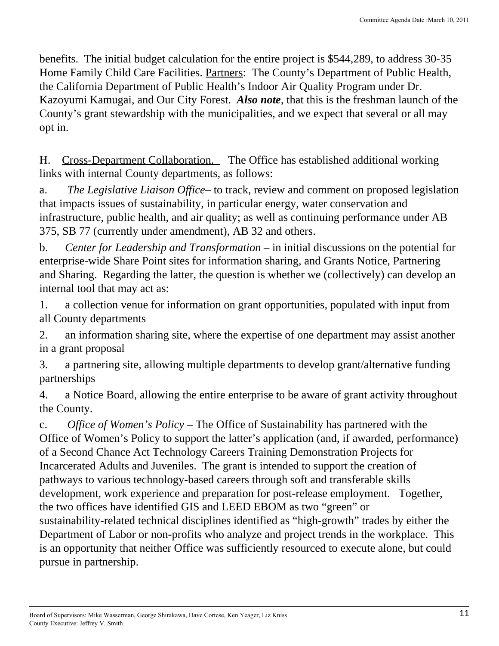benefits. The initial budget calculation for the entire project is \$544,289, to address 30-35 Home Family Child Care Facilities. Partners: The County's Department of Public Health, the California Department of Public Health's Indoor Air Quality Program under Dr. Kazoyumi Kamugai, and Our City Forest. *Also note*, that this is the freshman launch of the County's grant stewardship with the municipalities, and we expect that several or all may opt in.

H. Cross-Department Collaboration. The Office has established additional working links with internal County departments, as follows: .

a. *The Legislative Liaison Office*– to track, review and comment on proposed legislation that impacts issues of sustainability, in particular energy, water conservation and infrastructure, public health, and air quality; as well as continuing performance under AB 375, SB 77 (currently under amendment), AB 32 and others.

b. *Center for Leadership and Transformation* – in initial discussions on the potential for enterprise-wide Share Point sites for information sharing, and Grants Notice, Partnering and Sharing. Regarding the latter, the question is whether we (collectively) can develop an internal tool that may act as:

1. a collection venue for information on grant opportunities, populated with input from 1. a concentration venue for information on grant opportunities, populated with input from<br>all County departments

2. an information sharing site, where the expertise of one department may assist another 2. The information sharing site, where the experise of one department may assist another in a grant proposal

3. a partnering site, allowing multiple departments to develop grant/alternative funding b. a partnering sic, anowing mattiple departments to develop grand attendance randing

4. a Notice Board, allowing the entire enterprise to be aware of grant activity throughout the County.<br>the County.

c. *Office of Women's Policy –* The Office of Sustainability has partnered with the Office of Women's Policy to support the latter's application (and, if awarded, performance) of a Second Chance Act Technology Careers Training Demonstration Projects for Incarcerated Adults and Juveniles. The grant is intended to support the creation of pathways to various technology-based careers through soft and transferable skills development, work experience and preparation for post-release employment. Together, the two offices have identified GIS and LEED EBOM as two "green" or sustainability-related technical disciplines identified as "high-growth" trades by either the Department of Labor or non-profits who analyze and project trends in the workplace. This is an opportunity that neither Office was sufficiently resourced to execute alone, but could pursue in partnership.